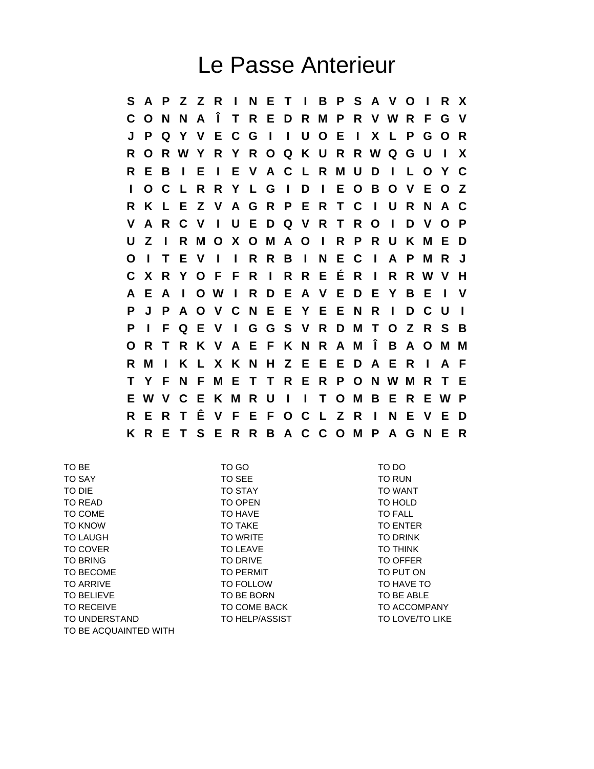## Le Passe Anterieur

**S A P Z Z R I N E T I B P S A V O I R X C O N N A Î T R E D R M P R V W R F G V J P Q Y V E C G I I U O E I X L P G O R R O R W Y R Y R O Q K U R R W Q G U I X R E B I E I E V A C L R M U D I L O Y C I O C L R R Y L G I D I E O B O V E O Z R K L E Z V A G R P E R T C I U R N A C V A R C V I U E D Q V R T R O I D V O P U Z I R M O X O M A O I R P R U K M E D O I T E V I I R R B I N E C I A P M R J C X R Y O F F R I R R E É R I R R W V H A E A I O W I R D E A V E D E Y B E I V P J P A O V C N E E Y E E N R I D C U I P I F Q E V I G G S V R D M T O Z R S B O R T R K V A E F K N R A M Î B A O M M R M I K L X K N H Z E E E D A E R I A F T Y F N F M E T T R E R P O N W M R T E E W V C E K M R U I I T O M B E R E W P R E R T Ê V F E F O C L Z R I N E V E D K R E T S E R R B A C C O M P A G N E R**

| TO BE                 | TO GO            | TO DO                  |
|-----------------------|------------------|------------------------|
| <b>TO SAY</b>         | TO SEE           | <b>TO RUN</b>          |
| TO DIE                | <b>TO STAY</b>   | <b>TO WANT</b>         |
| TO READ               | <b>TO OPEN</b>   | TO HOLD                |
| TO COME               | TO HAVE          | TO FALL                |
| <b>TO KNOW</b>        | TO TAKE          | <b>TO ENTER</b>        |
| <b>TO LAUGH</b>       | <b>TO WRITE</b>  | <b>TO DRINK</b>        |
| <b>TO COVER</b>       | TO LEAVE         | <b>TO THINK</b>        |
| <b>TO BRING</b>       | TO DRIVE         | TO OFFER               |
| TO BECOME             | <b>TO PERMIT</b> | TO PUT ON              |
| <b>TO ARRIVE</b>      | <b>TO FOLLOW</b> | TO HAVE TO             |
| <b>TO BELIEVE</b>     | TO BE BORN       | TO BE ABLE             |
| TO RECEIVE            | TO COME BACK     | TO ACCOMPANY           |
| TO UNDERSTAND         | TO HELP/ASSIST   | <b>TO LOVE/TO LIKE</b> |
| TO BE ACQUAINTED WITH |                  |                        |